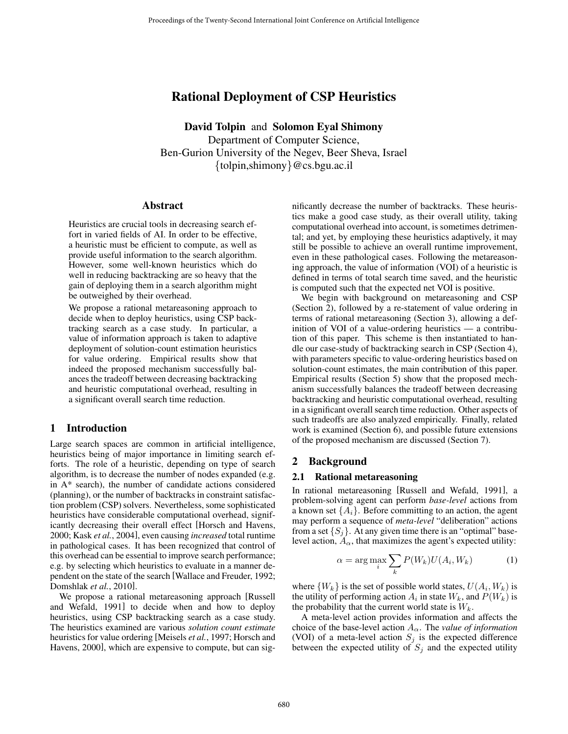# Rational Deployment of CSP Heuristics

David Tolpin and Solomon Eyal Shimony Department of Computer Science, Ben-Gurion University of the Negev, Beer Sheva, Israel {tolpin,shimony}@cs.bgu.ac.il

### Abstract

Heuristics are crucial tools in decreasing search effort in varied fields of AI. In order to be effective, a heuristic must be efficient to compute, as well as provide useful information to the search algorithm. However, some well-known heuristics which do well in reducing backtracking are so heavy that the gain of deploying them in a search algorithm might be outweighed by their overhead.

We propose a rational metareasoning approach to decide when to deploy heuristics, using CSP backtracking search as a case study. In particular, a value of information approach is taken to adaptive deployment of solution-count estimation heuristics for value ordering. Empirical results show that indeed the proposed mechanism successfully balances the tradeoff between decreasing backtracking and heuristic computational overhead, resulting in a significant overall search time reduction.

# 1 Introduction

Large search spaces are common in artificial intelligence, heuristics being of major importance in limiting search efforts. The role of a heuristic, depending on type of search algorithm, is to decrease the number of nodes expanded (e.g. in A\* search), the number of candidate actions considered (planning), or the number of backtracks in constraint satisfaction problem (CSP) solvers. Nevertheless, some sophisticated heuristics have considerable computational overhead, significantly decreasing their overall effect [Horsch and Havens, 2000; Kask *et al.*, 2004], even causing *increased* total runtime in pathological cases. It has been recognized that control of this overhead can be essential to improve search performance; e.g. by selecting which heuristics to evaluate in a manner dependent on the state of the search [Wallace and Freuder, 1992; Domshlak *et al.*, 2010].

We propose a rational metareasoning approach [Russell and Wefald, 1991] to decide when and how to deploy heuristics, using CSP backtracking search as a case study. The heuristics examined are various *solution count estimate* heuristics for value ordering [Meisels *et al.*, 1997; Horsch and Havens, 2000], which are expensive to compute, but can significantly decrease the number of backtracks. These heuristics make a good case study, as their overall utility, taking computational overhead into account, is sometimes detrimental; and yet, by employing these heuristics adaptively, it may still be possible to achieve an overall runtime improvement, even in these pathological cases. Following the metareasoning approach, the value of information (VOI) of a heuristic is defined in terms of total search time saved, and the heuristic is computed such that the expected net VOI is positive.

We begin with background on metareasoning and CSP (Section 2), followed by a re-statement of value ordering in terms of rational metareasoning (Section 3), allowing a definition of VOI of a value-ordering heuristics — a contribution of this paper. This scheme is then instantiated to handle our case-study of backtracking search in CSP (Section 4), with parameters specific to value-ordering heuristics based on solution-count estimates, the main contribution of this paper. Empirical results (Section 5) show that the proposed mechanism successfully balances the tradeoff between decreasing backtracking and heuristic computational overhead, resulting in a significant overall search time reduction. Other aspects of such tradeoffs are also analyzed empirically. Finally, related work is examined (Section 6), and possible future extensions of the proposed mechanism are discussed (Section 7).

### 2 Background

#### 2.1 Rational metareasoning

In rational metareasoning [Russell and Wefald, 1991], a problem-solving agent can perform *base-level* actions from a known set  $\{A_i\}$ . Before committing to an action, the agent may perform a sequence of *meta-level* "deliberation" actions from a set  $\{S_i\}$ . At any given time there is an "optimal" baselevel action,  $A_{\alpha}$ , that maximizes the agent's expected utility:

$$
\alpha = \arg \max_{i} \sum_{k} P(W_k) U(A_i, W_k)
$$
 (1)

where  $\{W_k\}$  is the set of possible world states,  $U(A_i, W_k)$  is the utility of performing action  $A_i$  in state  $W_k$ , and  $P(W_k)$  is the probability that the current world state is  $W_k$ .

A meta-level action provides information and affects the choice of the base-level action  $A_{\alpha}$ . The *value of information* (VOI) of a meta-level action  $S_i$  is the expected difference between the expected utility of  $S_j$  and the expected utility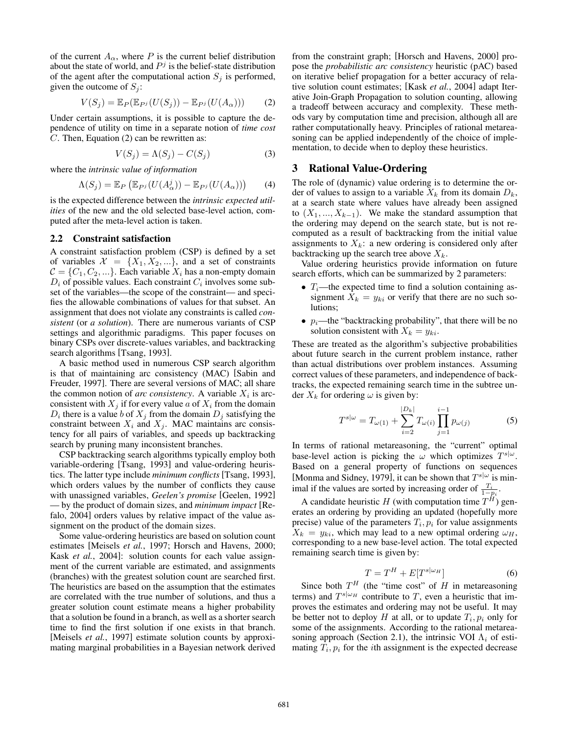of the current  $A_{\alpha}$ , where P is the current belief distribution about the state of world, and  $P<sup>j</sup>$  is the belief-state distribution of the agent after the computational action  $S_i$  is performed, given the outcome of  $S_i$ :

$$
V(S_j) = \mathbb{E}_P(\mathbb{E}_{P^j}(U(S_j)) - \mathbb{E}_{P^j}(U(A_\alpha)))
$$
 (2)

Under certain assumptions, it is possible to capture the dependence of utility on time in a separate notion of *time cost* C. Then, Equation (2) can be rewritten as:

$$
V(S_j) = \Lambda(S_j) - C(S_j)
$$
 (3)

where the *intrinsic value of information*

$$
\Lambda(S_j) = \mathbb{E}_P \left( \mathbb{E}_{P^j} (U(A^j_\alpha)) - \mathbb{E}_{P^j} (U(A_\alpha)) \right)
$$
 (4)

is the expected difference between the *intrinsic expected utilities* of the new and the old selected base-level action, computed after the meta-level action is taken.

#### 2.2 Constraint satisfaction

A constraint satisfaction problem (CSP) is defined by a set of variables  $\mathcal{X} = \{X_1, X_2, ...\}$ , and a set of constraints  $C = \{C_1, C_2, ...\}$ . Each variable  $X_i$  has a non-empty domain  $D_i$  of possible values. Each constraint  $C_i$  involves some subset of the variables—the scope of the constraint— and specifies the allowable combinations of values for that subset. An assignment that does not violate any constraints is called *consistent* (or *a solution*). There are numerous variants of CSP settings and algorithmic paradigms. This paper focuses on binary CSPs over discrete-values variables, and backtracking search algorithms [Tsang, 1993].

A basic method used in numerous CSP search algorithm is that of maintaining arc consistency (MAC) [Sabin and Freuder, 1997]. There are several versions of MAC; all share the common notion of *arc consistency*. A variable  $X_i$  is arcconsistent with  $X_i$  if for every value a of  $X_i$  from the domain  $D_i$  there is a value b of  $X_j$  from the domain  $D_j$  satisfying the constraint between  $X_i$  and  $X_j$ . MAC maintains arc consistency for all pairs of variables, and speeds up backtracking search by pruning many inconsistent branches.

CSP backtracking search algorithms typically employ both variable-ordering [Tsang, 1993] and value-ordering heuristics. The latter type include *minimum conflicts* [Tsang, 1993], which orders values by the number of conflicts they cause with unassigned variables, *Geelen's promise* [Geelen, 1992] — by the product of domain sizes, and *minimum impact* [Refalo, 2004] orders values by relative impact of the value assignment on the product of the domain sizes.

Some value-ordering heuristics are based on solution count estimates [Meisels *et al.*, 1997; Horsch and Havens, 2000; Kask *et al.*, 2004]: solution counts for each value assignment of the current variable are estimated, and assignments (branches) with the greatest solution count are searched first. The heuristics are based on the assumption that the estimates are correlated with the true number of solutions, and thus a greater solution count estimate means a higher probability that a solution be found in a branch, as well as a shorter search time to find the first solution if one exists in that branch. [Meisels *et al.*, 1997] estimate solution counts by approximating marginal probabilities in a Bayesian network derived from the constraint graph; [Horsch and Havens, 2000] propose the *probabilistic arc consistency* heuristic (pAC) based on iterative belief propagation for a better accuracy of relative solution count estimates; [Kask *et al.*, 2004] adapt Iterative Join-Graph Propagation to solution counting, allowing a tradeoff between accuracy and complexity. These methods vary by computation time and precision, although all are rather computationally heavy. Principles of rational metareasoning can be applied independently of the choice of implementation, to decide when to deploy these heuristics.

### 3 Rational Value-Ordering

The role of (dynamic) value ordering is to determine the order of values to assign to a variable  $X_k$  from its domain  $D_k$ , at a search state where values have already been assigned to  $(X_1, ..., X_{k-1})$ . We make the standard assumption that the ordering may depend on the search state, but is not recomputed as a result of backtracking from the initial value assignments to  $X_k$ : a new ordering is considered only after backtracking up the search tree above  $X_k$ .

Value ordering heuristics provide information on future search efforts, which can be summarized by 2 parameters:

- $T_i$ —the expected time to find a solution containing assignment  $X_k = y_{ki}$  or verify that there are no such solutions;
- $p_i$ —the "backtracking probability", that there will be no solution consistent with  $X_k = y_{ki}$ .

These are treated as the algorithm's subjective probabilities about future search in the current problem instance, rather than actual distributions over problem instances. Assuming correct values of these parameters, and independence of backtracks, the expected remaining search time in the subtree under  $X_k$  for ordering  $\omega$  is given by:

$$
T^{s|\omega} = T_{\omega(1)} + \sum_{i=2}^{|D_k|} T_{\omega(i)} \prod_{j=1}^{i-1} p_{\omega(j)}
$$
 (5)

In terms of rational metareasoning, the "current" optimal base-level action is picking the  $\omega$  which optimizes  $T^{s|\omega}$ . Based on a general property of functions on sequences [Monma and Sidney, 1979], it can be shown that  $T^{s|\omega}$  is minimal if the values are sorted by increasing order of  $\frac{T_i}{1-p_i}$ .

A candidate heuristic H (with computation time  $T^H$ ) generates an ordering by providing an updated (hopefully more precise) value of the parameters  $T_i$ ,  $p_i$  for value assignments  $X_k = y_{ki}$ , which may lead to a new optimal ordering  $\omega_H$ , corresponding to a new base-level action. The total expected remaining search time is given by:

$$
T = T^H + E[T^{s|\omega_H}] \tag{6}
$$

Since both  $T^H$  (the "time cost" of H in metareasoning terms) and  $T^{s|\omega_H}$  contribute to T, even a heuristic that improves the estimates and ordering may not be useful. It may be better not to deploy H at all, or to update  $T_i$ ,  $p_i$  only for some of the assignments. According to the rational metareasoning approach (Section 2.1), the intrinsic VOI  $\Lambda_i$  of estimating  $T_i$ ,  $p_i$  for the *i*th assignment is the expected decrease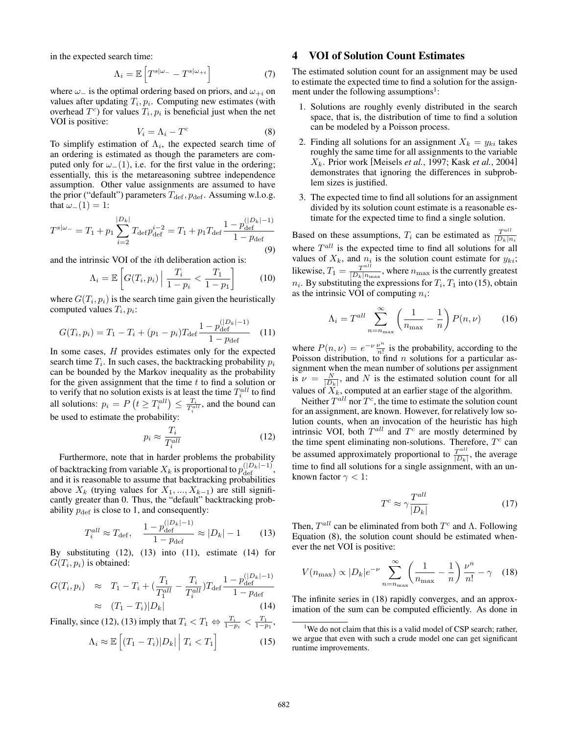in the expected search time:

$$
\Lambda_i = \mathbb{E}\left[T^{s|\omega_-} - T^{s|\omega_{+i}}\right] \tag{7}
$$

where  $\omega_$  is the optimal ordering based on priors, and  $\omega_{+i}$  on values after updating  $T_i, p_i$ . Computing new estimates (with overhead  $T^c$ ) for values  $T_i$ ,  $p_i$  is beneficial just when the net VOI is positive:

$$
V_i = \Lambda_i - T^c \tag{8}
$$

To simplify estimation of  $\Lambda_i$ , the expected search time of an ordering is estimated as though the parameters are computed only for  $\omega_-(1)$ , i.e. for the first value in the ordering; essentially, this is the metareasoning subtree independence assumption. Other value assignments are assumed to have the prior ("default") parameters  $T_{\text{def}}$ ,  $p_{\text{def}}$ . Assuming w.l.o.g. that  $\omega_-(1) = 1$ :

$$
T^{s|\omega_{-}} = T_1 + p_1 \sum_{i=2}^{|D_k|} T_{\text{def}} p_{\text{def}}^{i-2} = T_1 + p_1 T_{\text{def}} \frac{1 - p_{\text{def}}^{(|D_k| - 1)}}{1 - p_{\text{def}}}
$$
\n(9)

and the intrinsic VOI of the ith deliberation action is:

$$
\Lambda_i = \mathbb{E}\left[G(T_i, p_i)\middle| \frac{T_i}{1 - p_i} < \frac{T_1}{1 - p_1}\right] \tag{10}
$$

where  $G(T_i, p_i)$  is the search time gain given the heuristically computed values  $T_i, p_i$ :

$$
G(T_i, p_i) = T_1 - T_i + (p_1 - p_i) T_{\text{def}} \frac{1 - p_{\text{def}}^{(|D_k| - 1)}}{1 - p_{\text{def}}}
$$
 (11)

In some cases, H provides estimates only for the expected search time  $T_i$ . In such cases, the backtracking probability  $p_i$ can be bounded by the Markov inequality as the probability for the given assignment that the time  $t$  to find a solution or to verify that no solution exists is at least the time  $T_i^{all}$  to find all solutions:  $p_i = P(t \geq T_i^{all}) \leq \frac{T_i}{T_i^{all}}$ , and the bound can be used to estimate the probability:

$$
p_i \approx \frac{T_i}{T_i^{all}} \tag{12}
$$

Furthermore, note that in harder problems the probability of backtracking from variable  $X_k$  is proportional to  $p_{\text{def}}^{(|D_k|-1)}$ , and it is reasonable to assume that backtracking probabilities above  $X_k$  (trying values for  $X_1, ..., X_{k-1}$ ) are still significantly greater than 0. Thus, the "default" backtracking probability  $p_{\text{def}}$  is close to 1, and consequently:

$$
T_i^{all} \approx T_{\text{def}}, \quad \frac{1 - p_{\text{def}}^{(|D_k| - 1)}}{1 - p_{\text{def}}} \approx |D_k| - 1 \tag{13}
$$

By substituting  $(12)$ ,  $(13)$  into  $(11)$ , estimate  $(14)$  for  $G(T_i, p_i)$  is obtained:

$$
G(T_i, p_i) \approx T_1 - T_i + (\frac{T_1}{T_1^{all}} - \frac{T_i}{T_i^{all}})T_{\text{def}} \frac{1 - p_{\text{def}}^{(|D_k| - 1)}}{1 - p_{\text{def}}}
$$

$$
\approx (T_1 - T_i)|D_k|
$$
(14)

Finally, since (12), (13) imply that  $T_i < T_1 \Leftrightarrow \frac{T_i}{1 - p_i} < \frac{T_1}{1 - p_1}$ ,

$$
\Lambda_i \approx \mathbb{E}\left[ (T_1 - T_i)|D_k| \middle| T_i < T_1 \right] \tag{15}
$$

# 4 VOI of Solution Count Estimates

The estimated solution count for an assignment may be used to estimate the expected time to find a solution for the assignment under the following assumptions $\cdot$ :

- 1. Solutions are roughly evenly distributed in the search space, that is, the distribution of time to find a solution can be modeled by a Poisson process.
- 2. Finding all solutions for an assignment  $X_k = y_{ki}$  takes roughly the same time for all assignments to the variable Xk. Prior work [Meisels *et al.*, 1997; Kask *et al.*, 2004] demonstrates that ignoring the differences in subproblem sizes is justified.
- 3. The expected time to find all solutions for an assignment divided by its solution count estimate is a reasonable estimate for the expected time to find a single solution.

Based on these assumptions,  $T_i$  can be estimated as  $\frac{T^{all}}{|D_k|n_i}$ where  $T^{all}$  is the expected time to find all solutions for all values of  $X_k$ , and  $n_i$  is the solution count estimate for  $y_{ki}$ ; likewise,  $T_1 = \frac{T^{all}}{|D_k|_{n_{\text{max}}}}$ , where  $n_{\text{max}}$  is the currently greatest  $n_i$ . By substituting the expressions for  $T_i$ ,  $T_1$  into (15), obtain as the intrinsic VOI of computing  $n_i$ :

$$
\Lambda_i = T^{all} \sum_{n=n_{\text{max}}}^{\infty} \left( \frac{1}{n_{\text{max}}} - \frac{1}{n} \right) P(n, \nu) \tag{16}
$$

where  $P(n, \nu) = e^{-\nu} \frac{\nu^n}{n!}$  is the probability, according to the Poisson distribution, to find  $n$  solutions for a particular assignment when the mean number of solutions per assignment is  $\nu = \frac{N}{|D_k|}$ , and N is the estimated solution count for all values of  $\tilde{X_k}$ , computed at an earlier stage of the algorithm.

Neither  $T^{all}$  nor  $T^c$ , the time to estimate the solution count for an assignment, are known. However, for relatively low solution counts, when an invocation of the heuristic has high intrinsic VOI, both  $T^{all}$  and  $T^c$  are mostly determined by the time spent eliminating non-solutions. Therefore,  $T^c$  can be assumed approximately proportional to  $\frac{T^{all}}{|D_k|}$ , the average time to find all solutions for a single assignment, with an unknown factor  $\gamma < 1$ :

$$
T^c \approx \gamma \frac{T^{all}}{|D_k|} \tag{17}
$$

Then,  $T^{all}$  can be eliminated from both  $T^c$  and  $\Lambda$ . Following Equation (8), the solution count should be estimated whenever the net VOI is positive:

$$
V(n_{\text{max}}) \propto |D_k| e^{-\nu} \sum_{n=n_{\text{max}}}^{\infty} \left( \frac{1}{n_{\text{max}}} - \frac{1}{n} \right) \frac{\nu^n}{n!} - \gamma \quad (18)
$$

The infinite series in (18) rapidly converges, and an approximation of the sum can be computed efficiently. As done in

<sup>&</sup>lt;sup>1</sup>We do not claim that this is a valid model of CSP search; rather, we argue that even with such a crude model one can get significant runtime improvements.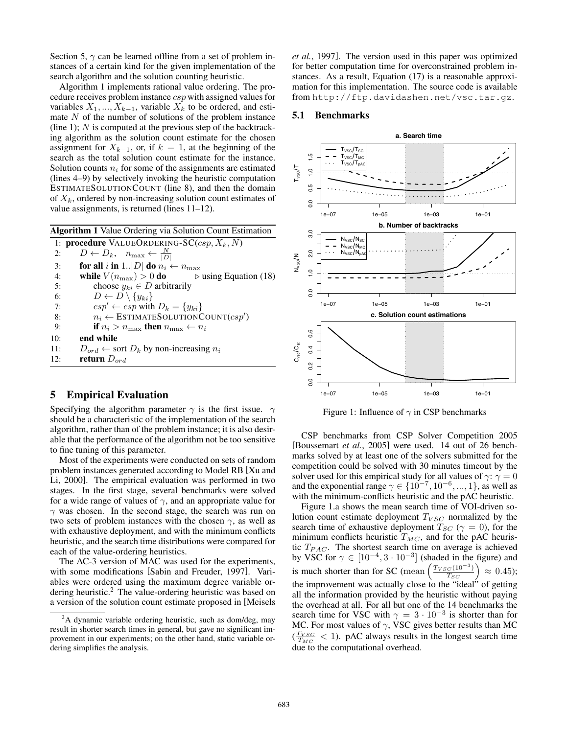Section 5,  $\gamma$  can be learned offline from a set of problem instances of a certain kind for the given implementation of the search algorithm and the solution counting heuristic.

Algorithm 1 implements rational value ordering. The procedure receives problem instance csp with assigned values for variables  $X_1, ..., X_{k-1}$ , variable  $X_k$  to be ordered, and estimate  $N$  of the number of solutions of the problem instance (line 1);  $N$  is computed at the previous step of the backtracking algorithm as the solution count estimate for the chosen assignment for  $X_{k-1}$ , or, if  $k = 1$ , at the beginning of the search as the total solution count estimate for the instance. Solution counts  $n_i$  for some of the assignments are estimated (lines 4–9) by selectively invoking the heuristic computation ESTIMATESOLUTIONCOUNT (line 8), and then the domain of  $X_k$ , ordered by non-increasing solution count estimates of value assignments, is returned (lines 11–12).

Algorithm 1 Value Ordering via Solution Count Estimation 1: procedure VALUEORDERING-SC $(csp, X_k, N)$ 2:  $D \leftarrow D_k, \quad n_{\text{max}} \leftarrow \frac{N}{|D|}$ 3: for all i in 1.. $|D|$  do  $n_i \leftarrow n_{\text{max}}$ 4: while  $V(n_{\text{max}}) > 0$  do  $\triangleright$  using Equation (18) 5: choose  $y_{ki} \in D$  arbitrarily 6:  $D \leftarrow D \setminus \{y_{ki}\}\$ <br>7:  $csp' \leftarrow csp \text{ with }$  $csp' \leftarrow csp$  with  $D_k = \{y_{ki}\}$ 8:  $n_i \leftarrow \text{ESTIMATESOLUTIONCOUNT}(csp')$ 9: **if**  $n_i > n_{\text{max}}$  **then**  $n_{\text{max}} \leftarrow n_i$ 10: end while 11:  $D_{ord} \leftarrow$  sort  $D_k$  by non-increasing  $n_i$ 12: **return**  $D_{ord}$ 

# 5 Empirical Evaluation

Specifying the algorithm parameter  $\gamma$  is the first issue.  $\gamma$ should be a characteristic of the implementation of the search algorithm, rather than of the problem instance; it is also desirable that the performance of the algorithm not be too sensitive to fine tuning of this parameter.

Most of the experiments were conducted on sets of random problem instances generated according to Model RB [Xu and Li, 2000]. The empirical evaluation was performed in two stages. In the first stage, several benchmarks were solved for a wide range of values of  $\gamma$ , and an appropriate value for  $\gamma$  was chosen. In the second stage, the search was run on two sets of problem instances with the chosen  $\gamma$ , as well as with exhaustive deployment, and with the minimum conflicts heuristic, and the search time distributions were compared for each of the value-ordering heuristics.

The AC-3 version of MAC was used for the experiments, with some modifications [Sabin and Freuder, 1997]. Variables were ordered using the maximum degree variable ordering heuristic.<sup>2</sup> The value-ordering heuristic was based on a version of the solution count estimate proposed in [Meisels *et al.*, 1997]. The version used in this paper was optimized for better computation time for overconstrained problem instances. As a result, Equation (17) is a reasonable approximation for this implementation. The source code is available from http://ftp.davidashen.net/vsc.tar.gz.

### 5.1 Benchmarks



Figure 1: Influence of  $\gamma$  in CSP benchmarks

CSP benchmarks from CSP Solver Competition 2005 [Boussemart *et al.*, 2005] were used. 14 out of 26 benchmarks solved by at least one of the solvers submitted for the competition could be solved with 30 minutes timeout by the solver used for this empirical study for all values of  $\gamma$ :  $\gamma = 0$ and the exponential range  $\gamma \in \{10^{-7}, 10^{-6}, ..., 1\}$ , as well as with the minimum-conflicts heuristic and the pAC heuristic.

Figure 1.a shows the mean search time of VOI-driven solution count estimate deployment  $T_{VSC}$  normalized by the search time of exhaustive deployment  $T_{SC}$  ( $\gamma = 0$ ), for the minimum conflicts heuristic  $T_{MC}$ , and for the pAC heuristic  $T_{PAC}$ . The shortest search time on average is achieved by VSC for  $\gamma \in [10^{-4}, 3 \cdot 10^{-3}]$  (shaded in the figure) and is much shorter than for SC (mean  $\left(\frac{T_{VSC}(10^{-3})}{T_{SC}}\right) \approx 0.45$ ); the improvement was actually close to the "ideal" of getting all the information provided by the heuristic without paying the overhead at all. For all but one of the 14 benchmarks the search time for VSC with  $\gamma = 3 \cdot 10^{-3}$  is shorter than for MC. For most values of  $\gamma$ , VSC gives better results than MC  $(\frac{T_{VSC}}{T_{MC}} < 1)$ . pAC always results in the longest search time due to the computational overhead.

<sup>&</sup>lt;sup>2</sup>A dynamic variable ordering heuristic, such as dom/deg, may result in shorter search times in general, but gave no significant improvement in our experiments; on the other hand, static variable ordering simplifies the analysis.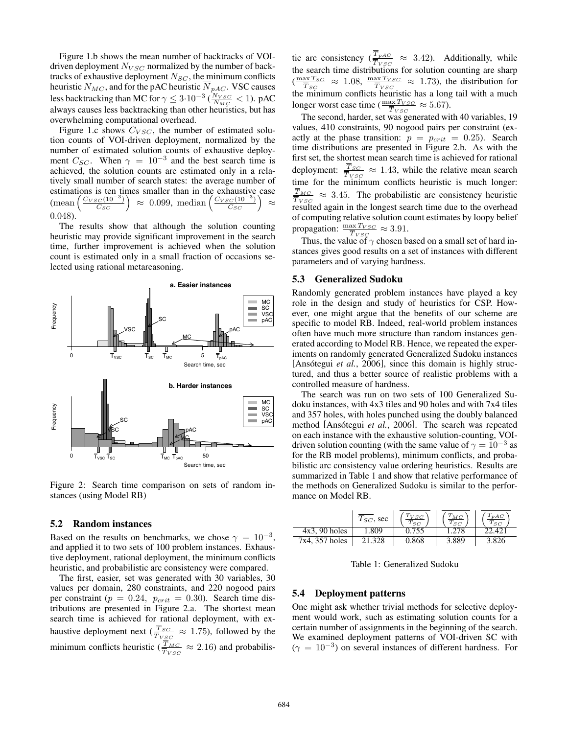Figure 1.b shows the mean number of backtracks of VOIdriven deployment  $N_{VSC}$  normalized by the number of backtracks of exhaustive deployment  $N_{SC}$ , the minimum conflicts heuristic  $N_{MC}$ , and for the pAC heuristic  $N_{pAC}$ . VSC causes less backtracking than MC for  $\gamma \leq 3 \cdot 10^{-3} \left(\frac{N_{VSC}}{N_{MC}} < 1\right)$ . pAC always causes less backtracking than other heuristics, but has overwhelming computational overhead.

Figure 1.c shows  $C_{VSC}$ , the number of estimated solution counts of VOI-driven deployment, normalized by the number of estimated solution counts of exhaustive deployment  $C_{SC}$ . When  $\gamma = 10^{-3}$  and the best search time is achieved, the solution counts are estimated only in a relatively small number of search states: the average number of estimations is ten times smaller than in the exhaustive case  $(\text{mean}\left(\frac{C_{VSC}(10^{-3})}{C_{SC}}\right) \approx 0.099, \text{ median}\left(\frac{C_{VSC}(10^{-3})}{C_{SC}}\right) \approx$ 0.048).

The results show that although the solution counting heuristic may provide significant improvement in the search time, further improvement is achieved when the solution count is estimated only in a small fraction of occasions selected using rational metareasoning.



Figure 2: Search time comparison on sets of random instances (using Model RB)

#### 5.2 Random instances

Based on the results on benchmarks, we chose  $\gamma = 10^{-3}$ , and applied it to two sets of 100 problem instances. Exhaustive deployment, rational deployment, the minimum conflicts heuristic, and probabilistic arc consistency were compared.

The first, easier, set was generated with 30 variables, 30 values per domain, 280 constraints, and 220 nogood pairs per constraint ( $p = 0.24$ ,  $p_{crit} = 0.30$ ). Search time distributions are presented in Figure 2.a. The shortest mean search time is achieved for rational deployment, with exhaustive deployment next ( $\frac{\overline{T}_{SC}}{\overline{T}_{VSC}} \approx 1.75$ ), followed by the minimum conflicts heuristic ( $\frac{\overline{T}_{MC}}{\overline{T}_{VSC}} \approx 2.16$ ) and probabilis-

tic arc consistency  $(\frac{\overline{T}_{pAC}}{\overline{T}_{VSC}} \approx 3.42)$ . Additionally, while the search time distributions for solution counting are sharp  $(\frac{\max T_{SC}}{\overline{T}_{SC}} \approx 1.08, \frac{\max T_{VSC}}{\overline{T}_{VSC}} \approx 1.73)$ , the distribution for the minimum conflicts heuristic has a long tail with a much longer worst case time ( $\frac{\max T_{VSC}}{\overline{T}_{VSC}} \approx 5.67$ ).

The second, harder, set was generated with 40 variables, 19 values, 410 constraints, 90 nogood pairs per constraint (exactly at the phase transition:  $p = p_{crit} = 0.25$ ). Search time distributions are presented in Figure 2.b. As with the first set, the shortest mean search time is achieved for rational deployment:  $\frac{\overline{T}_{SC}}{\overline{T}_{VSC}} \approx 1.43$ , while the relative mean search time for the minimum conflicts heuristic is much longer:  $\overline{T}_{MC}$  $\frac{T_{MC}}{T_{VSC}} \approx 3.45$ . The probabilistic arc consistency heuristic resulted again in the longest search time due to the overhead of computing relative solution count estimates by loopy belief propagation:  $\frac{\max T_{VSC}}{\overline{T}_{VSC}} \approx 3.91$ .

Thus, the value of  $\gamma$  chosen based on a small set of hard instances gives good results on a set of instances with different parameters and of varying hardness.

# 5.3 Generalized Sudoku

Randomly generated problem instances have played a key role in the design and study of heuristics for CSP. However, one might argue that the benefits of our scheme are specific to model RB. Indeed, real-world problem instances often have much more structure than random instances generated according to Model RB. Hence, we repeated the experiments on randomly generated Generalized Sudoku instances [Ansótegui *et al.*, 2006], since this domain is highly structured, and thus a better source of realistic problems with a controlled measure of hardness.

The search was run on two sets of 100 Generalized Sudoku instances, with 4x3 tiles and 90 holes and with 7x4 tiles and 357 holes, with holes punched using the doubly balanced method [Ansótegui et al., 2006]. The search was repeated on each instance with the exhaustive solution-counting, VOIdriven solution counting (with the same value of  $\gamma = 10^{-3}$  as for the RB model problems), minimum conflicts, and probabilistic arc consistency value ordering heuristics. Results are summarized in Table 1 and show that relative performance of the methods on Generalized Sudoku is similar to the performance on Model RB.

|                 | $T_{SC}$ , sec | $T_{VSC}$<br>$T_{SC}$ | $T_{MC}$<br>$T_{SC}$ | $T_{pAC}$<br>$T_{SC}$ |
|-----------------|----------------|-----------------------|----------------------|-----------------------|
| $4x3, 90$ holes | 1.809          | 0.755                 | 1.278                | $.42^{\circ}$         |
| 7x4, 357 holes  | 21.328         | 0.868                 | 3.889                | 3.826                 |

Table 1: Generalized Sudoku

### 5.4 Deployment patterns

One might ask whether trivial methods for selective deployment would work, such as estimating solution counts for a certain number of assignments in the beginning of the search. We examined deployment patterns of VOI-driven SC with  $(\gamma = 10^{-3})$  on several instances of different hardness. For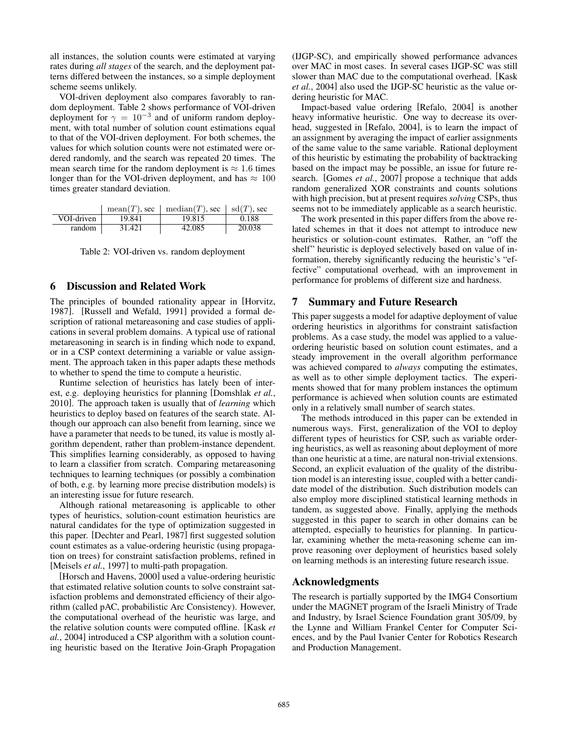all instances, the solution counts were estimated at varying rates during *all stages* of the search, and the deployment patterns differed between the instances, so a simple deployment scheme seems unlikely.

VOI-driven deployment also compares favorably to random deployment. Table 2 shows performance of VOI-driven deployment for  $\gamma = 10^{-3}$  and of uniform random deployment, with total number of solution count estimations equal to that of the VOI-driven deployment. For both schemes, the values for which solution counts were not estimated were ordered randomly, and the search was repeated 20 times. The mean search time for the random deployment is  $\approx 1.6$  times longer than for the VOI-driven deployment, and has  $\approx 100$ times greater standard deviation.

|            |        | mean(T), sec   median(T), sec   sd(T), sec |        |
|------------|--------|--------------------------------------------|--------|
| VOI-driven | 19.841 | 19.815                                     | 0.188  |
| random     | 31.421 | 42.085                                     | 20.038 |

Table 2: VOI-driven vs. random deployment

# 6 Discussion and Related Work

The principles of bounded rationality appear in [Horvitz, 1987]. [Russell and Wefald, 1991] provided a formal description of rational metareasoning and case studies of applications in several problem domains. A typical use of rational metareasoning in search is in finding which node to expand, or in a CSP context determining a variable or value assignment. The approach taken in this paper adapts these methods to whether to spend the time to compute a heuristic.

Runtime selection of heuristics has lately been of interest, e.g. deploying heuristics for planning [Domshlak *et al.*, 2010]. The approach taken is usually that of *learning* which heuristics to deploy based on features of the search state. Although our approach can also benefit from learning, since we have a parameter that needs to be tuned, its value is mostly algorithm dependent, rather than problem-instance dependent. This simplifies learning considerably, as opposed to having to learn a classifier from scratch. Comparing metareasoning techniques to learning techniques (or possibly a combination of both, e.g. by learning more precise distribution models) is an interesting issue for future research.

Although rational metareasoning is applicable to other types of heuristics, solution-count estimation heuristics are natural candidates for the type of optimization suggested in this paper. [Dechter and Pearl, 1987] first suggested solution count estimates as a value-ordering heuristic (using propagation on trees) for constraint satisfaction problems, refined in [Meisels *et al.*, 1997] to multi-path propagation.

[Horsch and Havens, 2000] used a value-ordering heuristic that estimated relative solution counts to solve constraint satisfaction problems and demonstrated efficiency of their algorithm (called pAC, probabilistic Arc Consistency). However, the computational overhead of the heuristic was large, and the relative solution counts were computed offline. [Kask *et al.*, 2004] introduced a CSP algorithm with a solution counting heuristic based on the Iterative Join-Graph Propagation (IJGP-SC), and empirically showed performance advances over MAC in most cases. In several cases IJGP-SC was still slower than MAC due to the computational overhead. [Kask *et al.*, 2004] also used the IJGP-SC heuristic as the value ordering heuristic for MAC.

Impact-based value ordering [Refalo, 2004] is another heavy informative heuristic. One way to decrease its overhead, suggested in [Refalo, 2004], is to learn the impact of an assignment by averaging the impact of earlier assignments of the same value to the same variable. Rational deployment of this heuristic by estimating the probability of backtracking based on the impact may be possible, an issue for future research. [Gomes *et al.*, 2007] propose a technique that adds random generalized XOR constraints and counts solutions with high precision, but at present requires *solving* CSPs, thus seems not to be immediately applicable as a search heuristic.

The work presented in this paper differs from the above related schemes in that it does not attempt to introduce new heuristics or solution-count estimates. Rather, an "off the shelf" heuristic is deployed selectively based on value of information, thereby significantly reducing the heuristic's "effective" computational overhead, with an improvement in performance for problems of different size and hardness.

# 7 Summary and Future Research

This paper suggests a model for adaptive deployment of value ordering heuristics in algorithms for constraint satisfaction problems. As a case study, the model was applied to a valueordering heuristic based on solution count estimates, and a steady improvement in the overall algorithm performance was achieved compared to *always* computing the estimates, as well as to other simple deployment tactics. The experiments showed that for many problem instances the optimum performance is achieved when solution counts are estimated only in a relatively small number of search states.

The methods introduced in this paper can be extended in numerous ways. First, generalization of the VOI to deploy different types of heuristics for CSP, such as variable ordering heuristics, as well as reasoning about deployment of more than one heuristic at a time, are natural non-trivial extensions. Second, an explicit evaluation of the quality of the distribution model is an interesting issue, coupled with a better candidate model of the distribution. Such distribution models can also employ more disciplined statistical learning methods in tandem, as suggested above. Finally, applying the methods suggested in this paper to search in other domains can be attempted, especially to heuristics for planning. In particular, examining whether the meta-reasoning scheme can improve reasoning over deployment of heuristics based solely on learning methods is an interesting future research issue.

# Acknowledgments

The research is partially supported by the IMG4 Consortium under the MAGNET program of the Israeli Ministry of Trade and Industry, by Israel Science Foundation grant 305/09, by the Lynne and William Frankel Center for Computer Sciences, and by the Paul Ivanier Center for Robotics Research and Production Management.